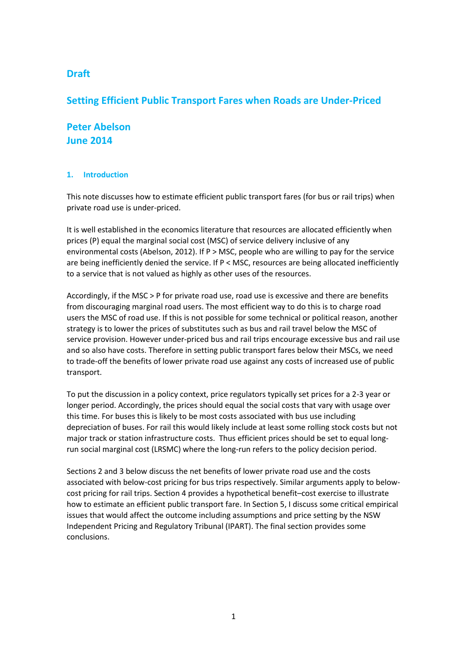# **Draft**

## **Setting Efficient Public Transport Fares when Roads are Under-Priced**

# **Peter Abelson June 2014**

### **1. Introduction**

This note discusses how to estimate efficient public transport fares (for bus or rail trips) when private road use is under-priced.

It is well established in the economics literature that resources are allocated efficiently when prices (P) equal the marginal social cost (MSC) of service delivery inclusive of any environmental costs (Abelson, 2012). If P > MSC, people who are willing to pay for the service are being inefficiently denied the service. If  $P <$  MSC, resources are being allocated inefficiently to a service that is not valued as highly as other uses of the resources.

Accordingly, if the MSC > P for private road use, road use is excessive and there are benefits from discouraging marginal road users. The most efficient way to do this is to charge road users the MSC of road use. If this is not possible for some technical or political reason, another strategy is to lower the prices of substitutes such as bus and rail travel below the MSC of service provision. However under-priced bus and rail trips encourage excessive bus and rail use and so also have costs. Therefore in setting public transport fares below their MSCs, we need to trade-off the benefits of lower private road use against any costs of increased use of public transport.

To put the discussion in a policy context, price regulators typically set prices for a 2-3 year or longer period. Accordingly, the prices should equal the social costs that vary with usage over this time. For buses this is likely to be most costs associated with bus use including depreciation of buses. For rail this would likely include at least some rolling stock costs but not major track or station infrastructure costs. Thus efficient prices should be set to equal longrun social marginal cost (LRSMC) where the long-run refers to the policy decision period.

Sections 2 and 3 below discuss the net benefits of lower private road use and the costs associated with below-cost pricing for bus trips respectively. Similar arguments apply to belowcost pricing for rail trips. Section 4 provides a hypothetical benefit–cost exercise to illustrate how to estimate an efficient public transport fare. In Section 5, I discuss some critical empirical issues that would affect the outcome including assumptions and price setting by the NSW Independent Pricing and Regulatory Tribunal (IPART). The final section provides some conclusions.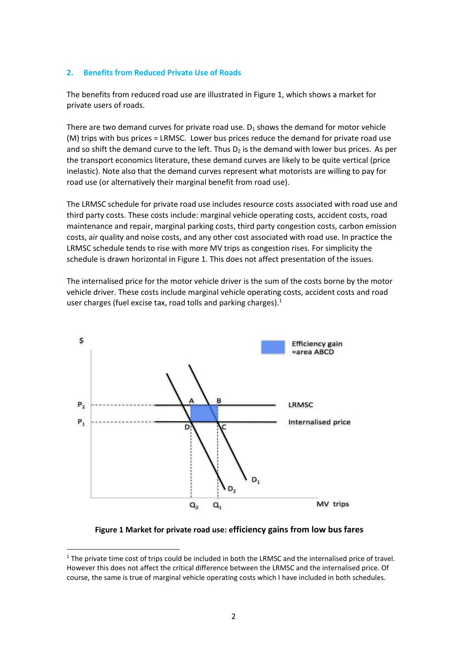#### **2. Benefits from Reduced Private Use of Roads**

The benefits from reduced road use are illustrated in Figure 1, which shows a market for private users of roads.

There are two demand curves for private road use.  $D_1$  shows the demand for motor vehicle (M) trips with bus prices = LRMSC. Lower bus prices reduce the demand for private road use and so shift the demand curve to the left. Thus  $D_2$  is the demand with lower bus prices. As per the transport economics literature, these demand curves are likely to be quite vertical (price inelastic). Note also that the demand curves represent what motorists are willing to pay for road use (or alternatively their marginal benefit from road use).

The LRMSC schedule for private road use includes resource costs associated with road use and third party costs. These costs include: marginal vehicle operating costs, accident costs, road maintenance and repair, marginal parking costs, third party congestion costs, carbon emission costs, air quality and noise costs, and any other cost associated with road use. In practice the LRMSC schedule tends to rise with more MV trips as congestion rises. For simplicity the schedule is drawn horizontal in Figure 1. This does not affect presentation of the issues.

The internalised price for the motor vehicle driver is the sum of the costs borne by the motor vehicle driver. These costs include marginal vehicle operating costs, accident costs and road user charges (fuel excise tax, road tolls and parking charges). 1



**Figure 1 Market for private road use: efficiency gains from low bus fares**

1

<sup>&</sup>lt;sup>1</sup> The private time cost of trips could be included in both the LRMSC and the internalised price of travel. However this does not affect the critical difference between the LRMSC and the internalised price. Of course, the same is true of marginal vehicle operating costs which I have included in both schedules.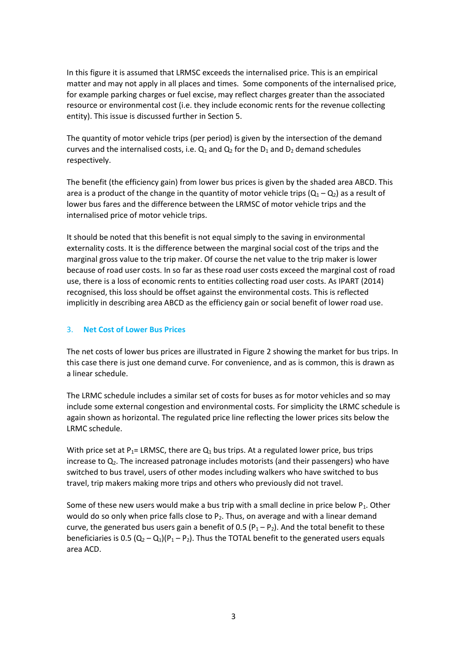In this figure it is assumed that LRMSC exceeds the internalised price. This is an empirical matter and may not apply in all places and times. Some components of the internalised price, for example parking charges or fuel excise, may reflect charges greater than the associated resource or environmental cost (i.e. they include economic rents for the revenue collecting entity). This issue is discussed further in Section 5.

The quantity of motor vehicle trips (per period) is given by the intersection of the demand curves and the internalised costs, i.e.  $Q_1$  and  $Q_2$  for the  $D_1$  and  $D_2$  demand schedules respectively.

The benefit (the efficiency gain) from lower bus prices is given by the shaded area ABCD. This area is a product of the change in the quantity of motor vehicle trips  $(Q_1 - Q_2)$  as a result of lower bus fares and the difference between the LRMSC of motor vehicle trips and the internalised price of motor vehicle trips.

It should be noted that this benefit is not equal simply to the saving in environmental externality costs. It is the difference between the marginal social cost of the trips and the marginal gross value to the trip maker. Of course the net value to the trip maker is lower because of road user costs. In so far as these road user costs exceed the marginal cost of road use, there is a loss of economic rents to entities collecting road user costs. As IPART (2014) recognised, this loss should be offset against the environmental costs. This is reflected implicitly in describing area ABCD as the efficiency gain or social benefit of lower road use.

### 3. **Net Cost of Lower Bus Prices**

The net costs of lower bus prices are illustrated in Figure 2 showing the market for bus trips. In this case there is just one demand curve. For convenience, and as is common, this is drawn as a linear schedule.

The LRMC schedule includes a similar set of costs for buses as for motor vehicles and so may include some external congestion and environmental costs. For simplicity the LRMC schedule is again shown as horizontal. The regulated price line reflecting the lower prices sits below the LRMC schedule.

With price set at P<sub>1</sub>= LRMSC, there are  $Q_1$  bus trips. At a regulated lower price, bus trips increase to  $Q<sub>2</sub>$ . The increased patronage includes motorists (and their passengers) who have switched to bus travel, users of other modes including walkers who have switched to bus travel, trip makers making more trips and others who previously did not travel.

Some of these new users would make a bus trip with a small decline in price below  $P_1$ . Other would do so only when price falls close to  $P_2$ . Thus, on average and with a linear demand curve, the generated bus users gain a benefit of 0.5 ( $P_1 - P_2$ ). And the total benefit to these beneficiaries is 0.5  $(Q_2 - Q_1)(P_1 - P_2)$ . Thus the TOTAL benefit to the generated users equals area ACD.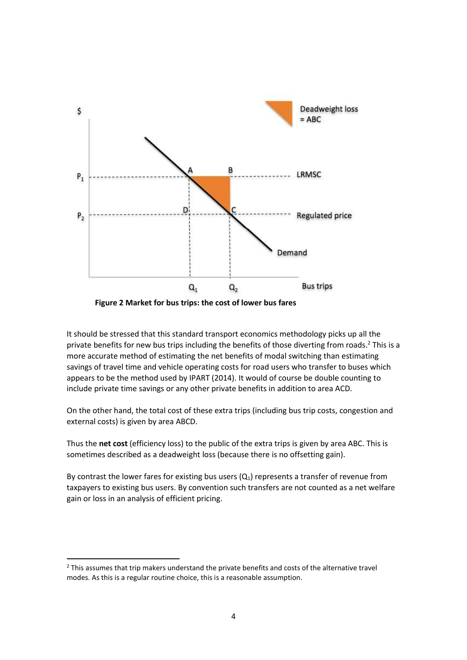

**Figure 2 Market for bus trips: the cost of lower bus fares**

It should be stressed that this standard transport economics methodology picks up all the private benefits for new bus trips including the benefits of those diverting from roads. <sup>2</sup> This is a more accurate method of estimating the net benefits of modal switching than estimating savings of travel time and vehicle operating costs for road users who transfer to buses which appears to be the method used by IPART (2014). It would of course be double counting to include private time savings or any other private benefits in addition to area ACD.

On the other hand, the total cost of these extra trips (including bus trip costs, congestion and external costs) is given by area ABCD.

Thus the **net cost** (efficiency loss) to the public of the extra trips is given by area ABC. This is sometimes described as a deadweight loss (because there is no offsetting gain).

By contrast the lower fares for existing bus users  $(Q_1)$  represents a transfer of revenue from taxpayers to existing bus users. By convention such transfers are not counted as a net welfare gain or loss in an analysis of efficient pricing.

**.** 

<sup>&</sup>lt;sup>2</sup> This assumes that trip makers understand the private benefits and costs of the alternative travel modes. As this is a regular routine choice, this is a reasonable assumption.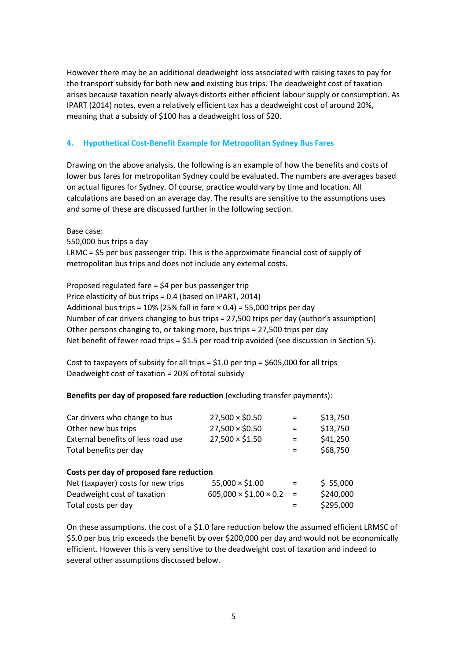However there may be an additional deadweight loss associated with raising taxes to pay for the transport subsidy for both new **and** existing bus trips. The deadweight cost of taxation arises because taxation nearly always distorts either efficient labour supply or consumption. As IPART (2014) notes, even a relatively efficient tax has a deadweight cost of around 20%, meaning that a subsidy of \$100 has a deadweight loss of \$20.

### **4. Hypothetical Cost-Benefit Example for Metropolitan Sydney Bus Fares**

Drawing on the above analysis, the following is an example of how the benefits and costs of lower bus fares for metropolitan Sydney could be evaluated. The numbers are averages based on actual figures for Sydney. Of course, practice would vary by time and location. All calculations are based on an average day. The results are sensitive to the assumptions uses and some of these are discussed further in the following section.

Base case:

550,000 bus trips a day LRMC = \$5 per bus passenger trip. This is the approximate financial cost of supply of metropolitan bus trips and does not include any external costs.

Proposed regulated fare = \$4 per bus passenger trip Price elasticity of bus trips = 0.4 (based on IPART, 2014) Additional bus trips =  $10\%$  (25% fall in fare  $\times$  0.4) = 55,000 trips per day Number of car drivers changing to bus trips = 27,500 trips per day (author's assumption) Other persons changing to, or taking more, bus trips = 27,500 trips per day Net benefit of fewer road trips =  $$1.5$  per road trip avoided (see discussion in Section 5).

Cost to taxpayers of subsidy for all trips =  $$1.0$  per trip =  $$605,000$  for all trips Deadweight cost of taxation = 20% of total subsidy

**Benefits per day of proposed fare reduction** (excluding transfer payments):

| Car drivers who change to bus            | $27,500 \times $0.50$             | $=$ | \$13,750  |
|------------------------------------------|-----------------------------------|-----|-----------|
| Other new bus trips                      | $27,500 \times $0.50$             | $=$ | \$13,750  |
| External benefits of less road use       | 27,500 × \$1.50                   | $=$ | \$41,250  |
| Total benefits per day                   |                                   | $=$ | \$68,750  |
| Costs per day of proposed fare reduction |                                   |     |           |
| Net (taxpayer) costs for new trips       | $55,000 \times $1.00$             | $=$ | \$55,000  |
| Deadweight cost of taxation              | $605,000 \times $1.00 \times 0.2$ | $=$ | \$240,000 |
| Total costs per day                      |                                   |     | \$295,000 |

On these assumptions, the cost of a \$1.0 fare reduction below the assumed efficient LRMSC of \$5.0 per bus trip exceeds the benefit by over \$200,000 per day and would not be economically efficient. However this is very sensitive to the deadweight cost of taxation and indeed to several other assumptions discussed below.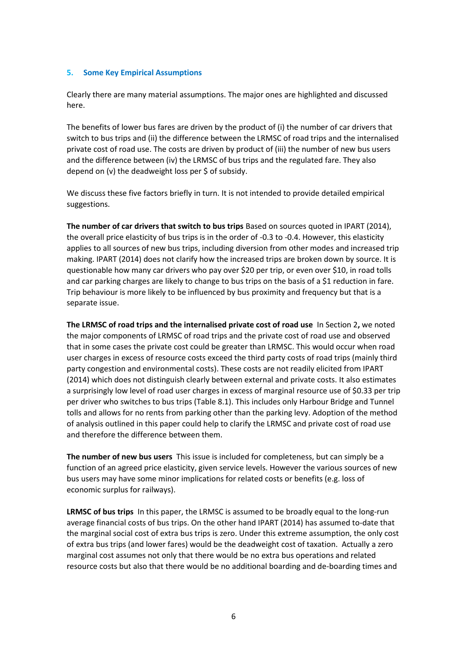#### **5. Some Key Empirical Assumptions**

Clearly there are many material assumptions. The major ones are highlighted and discussed here.

The benefits of lower bus fares are driven by the product of (i) the number of car drivers that switch to bus trips and (ii) the difference between the LRMSC of road trips and the internalised private cost of road use. The costs are driven by product of (iii) the number of new bus users and the difference between (iv) the LRMSC of bus trips and the regulated fare. They also depend on (v) the deadweight loss per \$ of subsidy.

We discuss these five factors briefly in turn. It is not intended to provide detailed empirical suggestions.

**The number of car drivers that switch to bus trips** Based on sources quoted in IPART (2014), the overall price elasticity of bus trips is in the order of -0.3 to -0.4. However, this elasticity applies to all sources of new bus trips, including diversion from other modes and increased trip making. IPART (2014) does not clarify how the increased trips are broken down by source. It is questionable how many car drivers who pay over \$20 per trip, or even over \$10, in road tolls and car parking charges are likely to change to bus trips on the basis of a \$1 reduction in fare. Trip behaviour is more likely to be influenced by bus proximity and frequency but that is a separate issue.

**The LRMSC of road trips and the internalised private cost of road use** In Section 2**,** we noted the major components of LRMSC of road trips and the private cost of road use and observed that in some cases the private cost could be greater than LRMSC. This would occur when road user charges in excess of resource costs exceed the third party costs of road trips (mainly third party congestion and environmental costs). These costs are not readily elicited from IPART (2014) which does not distinguish clearly between external and private costs. It also estimates a surprisingly low level of road user charges in excess of marginal resource use of \$0.33 per trip per driver who switches to bus trips (Table 8.1). This includes only Harbour Bridge and Tunnel tolls and allows for no rents from parking other than the parking levy. Adoption of the method of analysis outlined in this paper could help to clarify the LRMSC and private cost of road use and therefore the difference between them.

**The number of new bus users** This issue is included for completeness, but can simply be a function of an agreed price elasticity, given service levels. However the various sources of new bus users may have some minor implications for related costs or benefits (e.g. loss of economic surplus for railways).

**LRMSC of bus trips** In this paper, the LRMSC is assumed to be broadly equal to the long-run average financial costs of bus trips. On the other hand IPART (2014) has assumed to-date that the marginal social cost of extra bus trips is zero. Under this extreme assumption, the only cost of extra bus trips (and lower fares) would be the deadweight cost of taxation. Actually a zero marginal cost assumes not only that there would be no extra bus operations and related resource costs but also that there would be no additional boarding and de-boarding times and